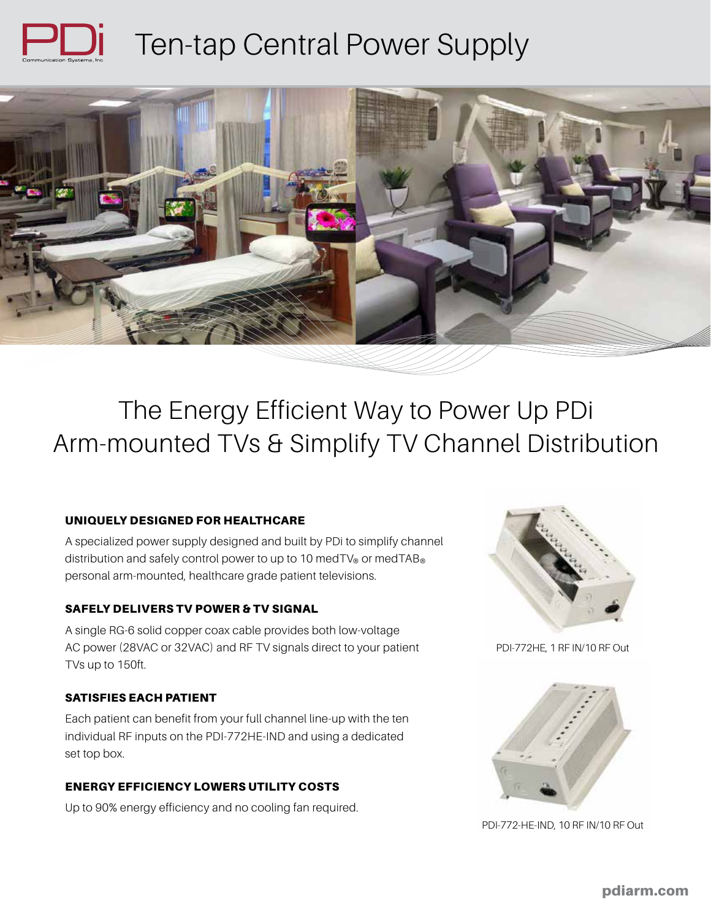



The Energy Efficient Way to Power Up PDi Arm-mounted TVs & Simplify TV Channel Distribution

# UNIQUELY DESIGNED FOR HEALTHCARE

A specialized power supply designed and built by PDi to simplify channel distribution and safely control power to up to 10 medTV® or medTAB® personal arm-mounted, healthcare grade patient televisions.

# SAFELY DELIVERS TV POWER & TV SIGNAL

A single RG-6 solid copper coax cable provides both low-voltage AC power (28VAC or 32VAC) and RF TV signals direct to your patient TVs up to 150ft.

# SATISFIES EACH PATIENT

Each patient can benefit from your full channel line-up with the ten individual RF inputs on the PDI-772HE-IND and using a dedicated set top box.

#### ENERGY EFFICIENCY LOWERS UTILITY COSTS

Up to 90% energy efficiency and no cooling fan required.



PDI-772HE, 1 RF IN/10 RF Out



PDI-772-HE-IND, 10 RF IN/10 RF Out